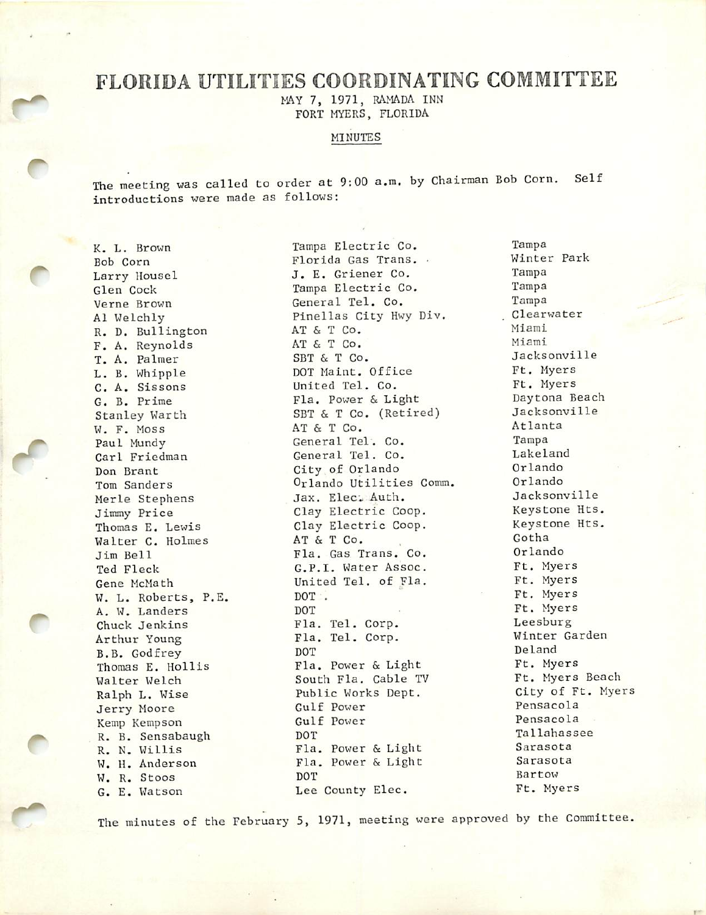## FLORIDA UTILITIES COORDINATING COMMITTEE

MAY 7, 1971, RAMADA INN FORT MYERS, FLORIDA

## MINUTES

The meeting was called to order at 9:00 a.m. by Chairman Bob Corn. Self introductions were made as follows:

K. L. Brown Bob Corn Larry Housel Glen Cock Verne Brown A1 Welchly R. D. Bullington F. A. Reynolds T. A. Palmer L. B. Whipple C. A. Sissons G. B. Prime Stanley Warth W. F. Moss Paul Mundy Carl Friedman Dan Brant Tom Sanders Merle Stephens Jimmy Price Thomas E. Lewis Walter C. Holmes Jim Bell Ted Fleck Gene McMath W. L. Roberts, P.E. A. W. Landers Chuck Jenkins Arthur Young B.B. Godfrey Thomas E. Hollis Walter Welch Ralph L. Wise Jerry Moore Kemp Kempson R. B. Sensabaugh R. N. Willis W. H. Anderson W. R. Stoos G. E. Watson

Tampa Electric Co. Florida Gas Trans. . J. E. Griener Co. Tampa Electric Co. General Tel. Co. Pinellas City Hwy Div. AT & T Co. AT & T Co. SBT & T Co. DOT Maint. Office United Tel. Co. Fla. Power & Light SBT & T Co. (Retired) AT & T Co. General Tel. Co. General Tel. Co. City of Orlando Orlando Utilities Comm. Jax. Elect Auth. Clay Electric Coop. Clay Electric Coop. AT & T Co. Fla. Gas Trans. Co. G.P.I. Water Assoc. United Tel. of Fla. DOT . DOT Fla. Tel. Corp. Fla. Tel. Corp. DOT Fla. Power & Light South Fla. Cable TV Public Works Dept. Gulf Power Gulf Power DOT Fla. Power & Light Fla. Power & Light DOT Lee County Elec.

Tampa Winter Park Tampa Tampa Tampa Clearwater Miami Miami Jacksonville Ft. Myers Ft. Myers Daytona Beach Jacksonville Atlanta Tampa Lakeland Orlando Orlando Jacksonville Keystone Hts. Keystone Hts. Gotha Orlando Ft. Myers Ft. Myers Ft. Myers Ft. Myers Leesburg Winter Garden Deland Ft. Myers Ft. Myers Beach City of Ft. Myers Pensacola Pensacola Tallahassee Sarasota Sarasota Bartow Ft. Myers

The minutes of the February 5, 1971, meeting were approved by the Committee.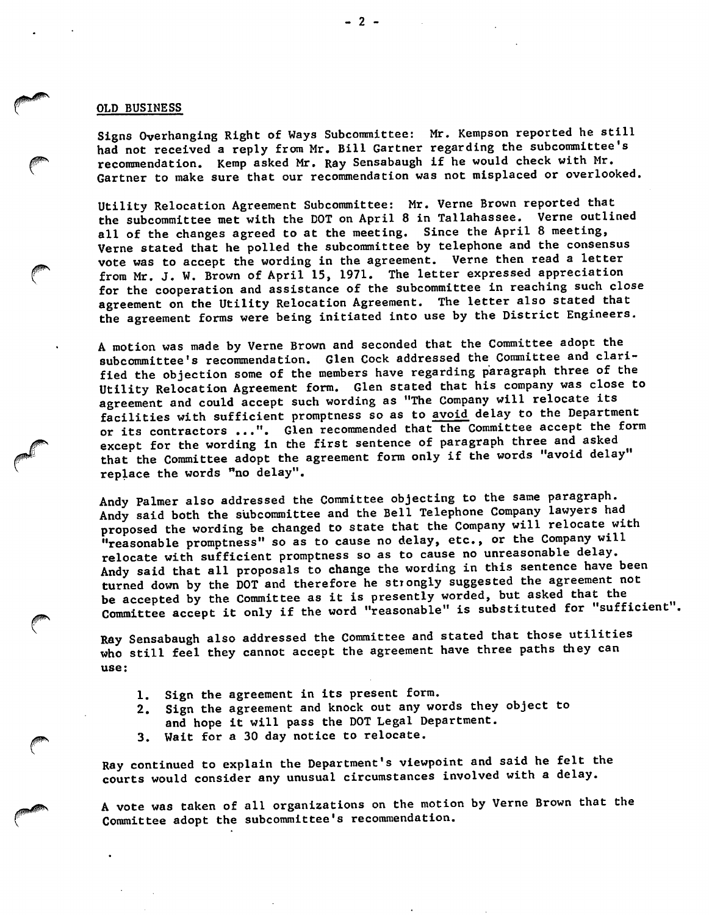## OLD BUSINESS

Signs Overhanging Right of Ways Subcommittee: Mr. Kempson reported he still had not received a reply from Mr. Bill Gartner regarding the subcommittee's recommendation. Kemp asked Mr. Ray Sensabaugh if he would check with Mr. Gartner to make sure that our recommendation was not misplaced or overlooked.

Utility Relocation Agreement Subcommittee: Mr. Verne Brown reported that the subcommittee met with the DOT on April 8 in Tallahassee. Verne outlined all of the changes agreed to at the meeting. Since the April 8 meeting, Verne stated that he polled the subcommittee by telephone and the consensus vote was to accept the wording in the agreement. Verne then read a letter from Mr. J. W. Brown of April 15, 1971. The letter expressed appreciation for the cooperation and assistance of the subcommittee in reaching such close agreement on the Utility Relocation Agreement. The letter also stated that the agreement forms were being initiated into use by the District Engineers.

A motion was made by Verne Brown and seconded that the Committee adopt the subcommittee's recommendation. Glen Cock addressed the Committee and clarified the objection some of the members have regarding paragraph three of the Utility Relocation Agreement form. Glen stated that his company was close to agreement and could accept such wording as "The Company will relocate its facilities with sufficient promptness so as to avoid delay to the Department or its contractors ...". Glen recommended that the Committee accept the form except for the wording in the first sentence of paragraph three and asked that the Committee adopt the agreement form only if the words "avoid delay" replace the words "no delay".

Andy Palmer also addressed the Committee objecting to the same paragraph. Andy said both the subcommittee and the Bell Telephone Company lawyers had proposed the wording be changed to state that the Company will relocate with "reasonable promptness" so as to cause no delay, etc., or the Company will relocate with sufficient promptness so as to cause no unreasonable delay. Andy said that all proposals to change the wording in this sentence have been turned down by the DOT and therefore he strongly suggested the agreement not be accepted by the Committee as it is presently worded, but asked that the Committee accept it only if the word "reasonable" is substituted for "sufficient".

Ray Sensabaugh also addressed the Committee and stated that those utilities who still feel they cannot accept the agreement have three paths they can use:

- 1. Sign the agreement in its present form.
- 2. Sign the agreement and knock out any words they object to
- and hope it will pass the DOT Legal Department.
- 3. Wait for a 30 day notice to relocate.

Ray continued to explain the Department's viewpoint and said he felt the courts would consider any unusual circumstances involved with a delay.

A vote was taken of all organizations on the motion by Verne Brown that the Committee adopt the subcommittee's recommendation.